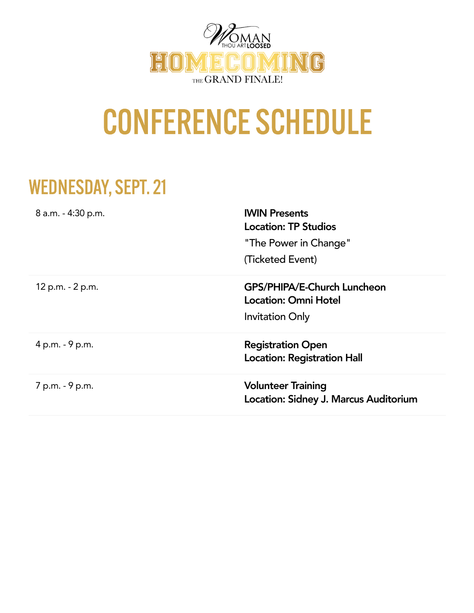

# CONFERENCE SCHEDULE

### WEDNESDAY, SEPT. 21

| 8 a.m. - 4:30 p.m. | <b>IWIN Presents</b><br><b>Location: TP Studios</b><br>"The Power in Change"<br>(Ticketed Event) |
|--------------------|--------------------------------------------------------------------------------------------------|
| 12 p.m. - 2 p.m.   | GPS/PHIPA/E-Church Luncheon<br><b>Location: Omni Hotel</b><br><b>Invitation Only</b>             |
| 4 p.m. - 9 p.m.    | <b>Registration Open</b><br><b>Location: Registration Hall</b>                                   |
| 7 p.m. - 9 p.m.    | <b>Volunteer Training</b><br>Location: Sidney J. Marcus Auditorium                               |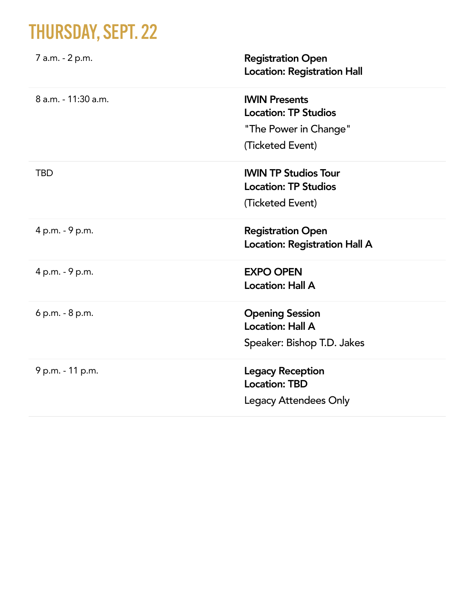## THURSDAY, SEPT. 22

| 7 a.m. - 2 p.m.     | <b>Registration Open</b><br><b>Location: Registration Hall</b>                                   |
|---------------------|--------------------------------------------------------------------------------------------------|
| 8 a.m. - 11:30 a.m. | <b>IWIN Presents</b><br><b>Location: TP Studios</b><br>"The Power in Change"<br>(Ticketed Event) |
| <b>TBD</b>          | <b>IWIN TP Studios Tour</b><br><b>Location: TP Studios</b><br>(Ticketed Event)                   |
| 4 p.m. - 9 p.m.     | <b>Registration Open</b><br><b>Location: Registration Hall A</b>                                 |
| 4 p.m. - 9 p.m.     | <b>EXPO OPEN</b><br><b>Location: Hall A</b>                                                      |
| 6 p.m. - 8 p.m.     | <b>Opening Session</b><br><b>Location: Hall A</b><br>Speaker: Bishop T.D. Jakes                  |
| 9 p.m. - 11 p.m.    | <b>Legacy Reception</b><br><b>Location: TBD</b><br><b>Legacy Attendees Only</b>                  |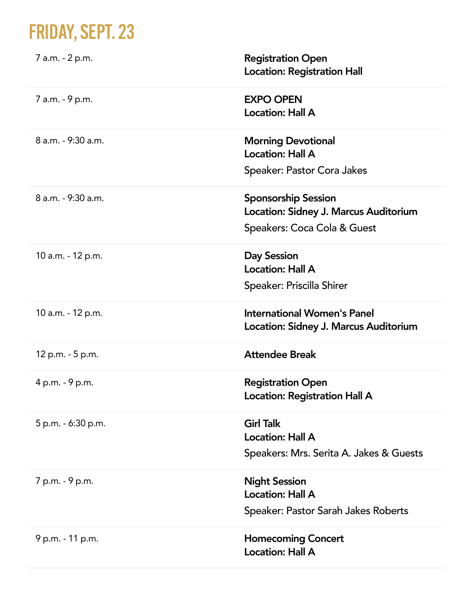## FRIDAY, SEPT. 23

| 7 a.m. - 2 p.m.    | <b>Registration Open</b><br><b>Location: Registration Hall</b>                                     |
|--------------------|----------------------------------------------------------------------------------------------------|
| 7 a.m. - 9 p.m.    | <b>EXPO OPEN</b><br><b>Location: Hall A</b>                                                        |
| 8 a.m. - 9:30 a.m. | <b>Morning Devotional</b><br><b>Location: Hall A</b><br>Speaker: Pastor Cora Jakes                 |
| 8 a.m. - 9:30 a.m. | <b>Sponsorship Session</b><br>Location: Sidney J. Marcus Auditorium<br>Speakers: Coca Cola & Guest |
| 10 a.m. - 12 p.m.  | <b>Day Session</b><br><b>Location: Hall A</b><br>Speaker: Priscilla Shirer                         |
| 10 a.m. - 12 p.m.  | <b>International Women's Panel</b><br>Location: Sidney J. Marcus Auditorium                        |
| 12 p.m. - 5 p.m.   | <b>Attendee Break</b>                                                                              |
| 4 p.m. - 9 p.m.    | <b>Registration Open</b><br><b>Location: Registration Hall A</b>                                   |
| 5 p.m. - 6:30 p.m. | <b>Girl Talk</b><br><b>Location: Hall A</b><br>Speakers: Mrs. Serita A. Jakes & Guests             |
| 7 p.m. - 9 p.m.    | <b>Night Session</b><br><b>Location: Hall A</b><br>Speaker: Pastor Sarah Jakes Roberts             |
| 9 p.m. - 11 p.m.   | <b>Homecoming Concert</b><br><b>Location: Hall A</b>                                               |